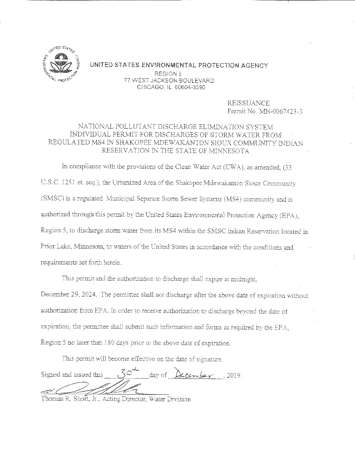

## UNITED STATES ENVIRONMENTAL PROTECTION AGENCY REGION 5 77 WEST JACKSON BOULEVARD CHICAGO, IL 60604-3590

REISSUANCE Permit No. MN-0067423-3

# NATIONAL POLLUTANT DISCHARGE ELIMINATION SYSTEM INDIVIDUAL PERMIT FOR DISCHARGES OF STORM WATER FROM REGULATED MS4 IN SHAKOPEE MDEWAKANTON SIOUX COMMUNITY INDIAN RESERVATION IN THE STATE OF MINNESOTA

In compliance with the provisions of the Clean Water Act (CWA), as amended, (33 U.S.C. 1251 et. seq.), the Urbanized Area of the Shakopee Mdewakanton Sioux Community (SMSC) is a regulated Municipal Separate Storm Sewer Systems (MS4) community and is authorized through this permit by the United States Environmental Protection Agency (EPA), Region 5, to discharge storm water from its MS4 within the SMSC Indian Reservation located in Prior Lake, Minnesota, to waters of the United States in accordance with the conditions and requirements set forth herein.

This permit and the authorization to discharge shall expire at midnight. December 29, 2024. The permittee shall not discharge after the above date of expiration without authorization from *EPA*. In order to receive authorization to discharge beyond the date of expiration, the permittee shall submit such information and forms as required by the EPA. Region 5 no later than 180 days prior to the above date of expiration.

This permit will become effective on the date of signature.

, 30 day of  $\&$  center . 2019. Signed and issued this

Thomas R. Short, Jr., Acting Director, Water Division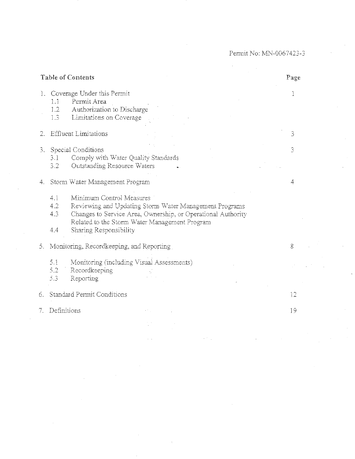Permit No: MN-0067423-3

| Table of Contents |                                                                                                                            |                                                                                                                                                                                                     | Page |
|-------------------|----------------------------------------------------------------------------------------------------------------------------|-----------------------------------------------------------------------------------------------------------------------------------------------------------------------------------------------------|------|
|                   | 1. Coverage Under this Permit<br>Permit Area<br>1.1<br>Authorization to Discharge<br>1.2<br>Limitations on Coverage<br>1.3 |                                                                                                                                                                                                     | 1    |
| 2.                | <b>Effluent Limitations</b>                                                                                                |                                                                                                                                                                                                     | 3    |
|                   | 3. Special Conditions<br>Comply with Water Quality Standards<br>3.1<br>3.2<br>Outstanding Resource Waters                  |                                                                                                                                                                                                     | 3    |
| 4.                | Storm Water Management Program                                                                                             |                                                                                                                                                                                                     |      |
|                   | 4.1<br>4.2<br>4.3<br>Sharing Responsibility<br>4.4                                                                         | Minimum Control Measures<br>Reviewing and Updating Storm Water Management Programs<br>Changes to Service Area, Ownership, or Operational Authority<br>Related to the Storm Water Management Program |      |
|                   | 5. Monitoring, Recordkeeping, and Reporting                                                                                |                                                                                                                                                                                                     | 8    |
|                   | Monitoring (including Visual Assessments)<br>5.1<br>5.2<br>Recordkeeping<br>5.3<br>Reporting                               |                                                                                                                                                                                                     |      |
| 6.                | Standard Permit Conditions                                                                                                 |                                                                                                                                                                                                     | 12   |
| 7.                | Definitions                                                                                                                |                                                                                                                                                                                                     | 19   |
|                   |                                                                                                                            |                                                                                                                                                                                                     |      |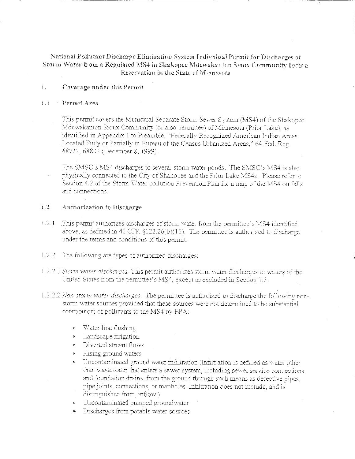National Pollutant Discharge Elimination System Individual Permit for Discharges of Storm Water from a Regulated MS4 in Shakopee Mdewakanton Sioux Community Indian Reservation in the State of Minnesota

### $\bar{1}$ . Coverage under this Permit

#### $\mathbb{L}$ Permit Area

This permit covers the Municipal Separate Storm Sewer System (MS4) of the Shakopee Mdewakanton Sioux Community (or also permittee) of Minnesota (Prior Lake), as identified in Appendix 1 to Preamble, "Federally-Recognized American Indian Areas Located Fully or Partially in Bureau of the Census Urbanized Areas," 64 Fed. Reg. 68722, 68803 (December 8, 1999).

The SMSC's MS4 discharges to several storm water ponds. The SMSC's MS4 is also physically connected to the City of Shakopee and the Prior Lake MS4s. Please refer to Section 4.2 of the Storm Water pollution Prevention Plan for a map of the MS4 outfalls and connections.

### $1.2$ Authorization to Discharge

- $1.2.1$ This permit authorizes discharges of storm water from the permittee's MS4 identified above, as defined in 40 CFR  $$122.26(b)(16)$ . The permittee is authorized to discharge under the terms and conditions of this permit.
- The following are types of authorized discharges:  $1.2.2$
- 1.2.2.1 Storm water discharges. This permit authorizes storm water discharges to waters of the United States from the permittee's MS4, except as excluded in Section 1.3.
- 1.2.2.2 Non-storm water discharges. The permittee is authorized to discharge the following nonstorm water sources provided that these sources were not determined to be substantial contributors of pollutants to the MS4 by EPA:
	- Water line flushing
	- Landscape irrigation
	- Diverted stream flows
	- Rising ground waters
	- Uncontaminated ground water infiltration (Infiltration is defined as water other than wastewater that enters a sewer system, including sewer service connections and foundation drains, from the ground through such means as defective pipes, pipe joints, connections, or manholes. Infiltration does not include, and is distinguished from, inflow.)
	- « Uncontaminated pumped groundwater
	- Discharges from potable water sources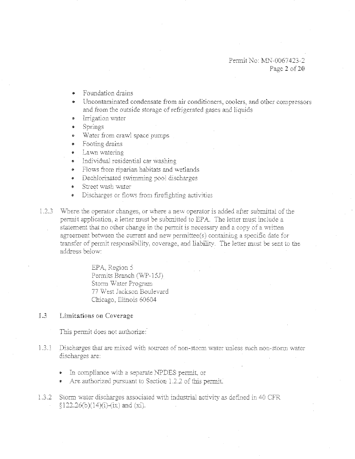- Foundation drains
- Uncontaminated condensate from air conditioners, coolers, and other compressors and from the outside storage of refrigerated gases and liquids
- Irrigation water
- Springs в.
- Water from crawl space pumps
- Footing drains
- Lawn watering
- Individual residential car washing
- Flows from riparian habitats and wetlands
- Dechlorinated swimming pool discharges  $\bullet$
- Street wash water
- Discharges or flows from firefighting activities
- 1.2.3 Where the operator changes, or where a new operator is added after submittal of the permit application, a letter must be submitted to EPA. The letter must include a statement that no other change in the permit is necessary and a copy of a written agreement between the current and new permittee(s) containing a specific date for transfer of permit responsibility, coverage, and liability. The letter must be sent to the address below:

EPA, Region 5 Permits Branch (WP-15J) Storm Water Program 77 West Jackson Boulevard Chicago, Illinois 60604

### $13$ Limitations on Coverage

This permit does not authorize:

- Discharges that are mixed with sources of non-storm water unless such non-storm water  $1.3.1$ discharges are:
	- In compliance with a separate NPDES permit, or
	- Are authorized pursuant to Section 1.2.2 of this permit.
- 1.3.2 Storm water discharges associated with industrial activity as defined in 40 CFR  $$122.26(b)(14)(i)-(ix)$  and (xi).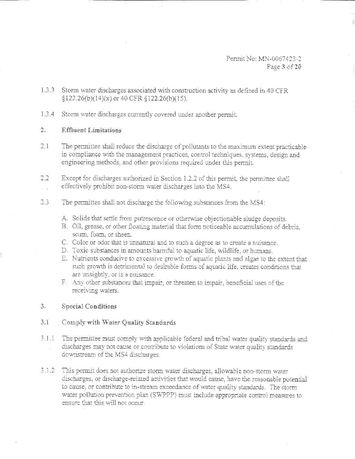Permit No: MN-0067423-2 Page 3 of 20

- 1.3.3 Storm water discharges associated with construction activity as defined in 40 CFR  $$122.26(b)(14)(x)$  or 40 CFR  $$122.26(b)(15)$ .
- L3.4 Storm water discharges currently covered under another permit.

### 2. Effluent Limitations

- $2.1$ The permittee shall reduce the discharge of pollutants to the maximum extent practicable in compliance with the management practices, control techniques, systems, design and engineering methods, and other provisions required under this permit.
- $2.2^{\circ}$ Except for discharges authorized in Section 1.2.2 of this permit, the permittee shall effectively prohibit non-storm water discharges into the MS4.
- $2.3^{\circ}$ The permittee shall not discharge the following substances from the MS4:
	- A. Solids that settle from putrescence or otherwise objectionable sludge deposits.
	- B. Oil, grease, or other floating material that form noticeable accumulations of debris. scum, foam, or sheen.
	- C. Color or odor that is unnatural and to such a degree as to create a nuisance.
	- D. Toxic substances in amounts harmful to aquatic life, wildlife, or humans.
	- E. Nutrients conducive to excessive growth of aquatic plants and algae to the extent that such growth is detrimental to desirable forms of aquatic life, creates conditions that are unsightly, or is a nuisance.
	- F. Any other substances that impair, or threaten to impair, beneficial uses of the receiving waters.

## 3. Special Conditions

# 3.1 Comply with Water Quality Standards

- $3.1.1$ The permittee must comply with applicable federal and tribal water quality standards and discharges may not cause or contribute to violations of State water quality standards. downstream of the MS4 discharges.
- 3.1.2 This permit does not authorize storm water discharges, allowable non-storm water discharges, or discharge-related activities that would cause, have the reasonable potential to cause, or contribute to in-stream exceedance of water quality standards. The storm water pollution prevention plan (SWPPP) must include appropriate control measures to ensure that this will not occur.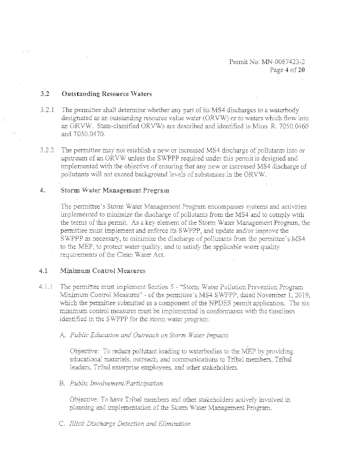### $3.2$ **Outstanding Resource Waters**

- $3.2.1$ The permittee shall determine whether any part of its MS4 discharges to a waterbody designated as an outstanding resource value water (ORVW) or to waters which flow into an ORVW. State-classified ORVWs are described and identified in Minn. R. 7050.0460 and 7050.0470.
- $3.2.2$ The permittee may not establish a new or increased MS4 discharge of pollutants into or upstream of an ORVW unless the SWPPP required under this permit is designed and implemented with the objective of ensuring that any new or increased MS4 discharge of pollutants will not exceed background levels of substances in the ORVW.

#### 4. Storm Water Management Program

The permittee's Storm Water Management Program encompasses systems and activities implemented to minimize the discharge of pollutants from the MS4 and to comply with the terms of this permit. As a key element of the Storm Water Management Program, the permittee must implement and enforce its SWPPP, and update and/or improve the SWPPP as necessary, to minimize the discharge of pollutants from the permittee's MS4 to the MEP, to protect water quality, and to satisfy the applicable water quality requirements of the Clean Water Act.

### $4.1$ Minimum Control Measures

- $4.1.1$ The permittee must implement Section 5 - "Storm Water Pollution Prevention Program Minimum Control Measures" - of the permittee's MS4 SWPPP, dated November 1, 2019, which the permittee submitted as a component of the NPDES permit application. The six minimum control measures must be implemented in conformance with the timelines identified in the SWPPP for the storm water program:
	- A. Public Education and Outreach on Storm Water Impacts

Objective: To reduce pollutant loading to waterbodies to the MEP by providing educational materials, outreach, and communications to Tribal members. Tribal leaders. Tribal enterprise employees, and other stakeholders.

## B. Public Involvement/Participation

Objective: To have Tribal members and other stakeholders actively involved in planning and implementation of the Storm Water Management Program.

## C. Illicit Discharge Detection and Elimination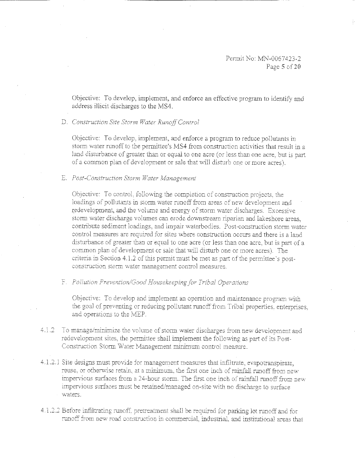Permit No: MN-0067423-2 Page 5 of 20

Objective: To develop, implement, and enforce an effective program to identify and address illicit discharges to the MS4.

## D. Construction Site Storm Water Runoff Control

Objective: To develop, implement, and enforce a program to reduce pollutants in storm water runoff to the permittee's MS4 from construction activities that result in a land disturbance of greater than or equal to one acre (or less than one acre, but is part of a common plan of development or sale that will disturb one or more acres).

### E. Post-Construction Storm Water Management

Objective: To control, following the completion of construction projects, the loadings of pollutants in storm water runoff from areas of new development and redevelopment, and the volume and energy of storm water discharges. Excessive storm water discharge volumes can erode downstream riparian and lakeshore areas. contribute sediment loadings, and impair waterbodies. Post-construction storm water control measures are required for sites where construction occurs and there is a land disturbance of greater than or equal to one acre (or less than one acre, but is part of a common plan of development or sale that will disturb one or more acres). The criteria in Section 4.1.2 of this permit must be met as part of the permittee's postconstruction storm water management control measures.

## F. Pollution Prevention/Good Housekeeping for Tribal Operations

Objective: To develop and implement an operation and maintenance program with the goal of preventing or reducing pollutant runoff from Tribal properties, enterprises, and operations to the MEP.

- $4.1.2$ To manage/minimize the volume of storm water discharges from new development and redevelopment sites, the permittee shall implement the following as part of its Post-Construction Storm Water Management minimum control measure.
- 4.1.2.1 Site designs must provide for management measures that infiltrate, evapotranspirate, reuse, or otherwise retain, at a minimum, the first one inch of rainfall runoff from new impervious surfaces from a 24-hour storm. The first one inch of rainfall runoff from new impervious surfaces must be retained/managed on-site with no discharge to surface waters.
- 4.1.2.2 Before infiltrating runoff, pretreatment shall be required for parking lot runoff and for runoff from new road construction in commercial, industrial, and institutional areas that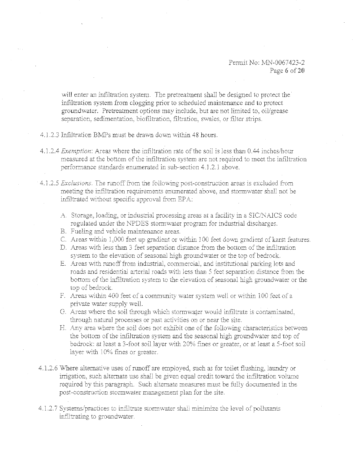will enter an infiltration system. The pretreatment shall be designed to protect the infiltration system from clogging prior to scheduled maintenance and to protect groundwater. Pretreatment options may include, but are not limited to, oil/grease separation, sedimentation, biofiltration, filtration, swales, or filter strips.

## 4.1.2.3 Infiltration BMPs must be drawn down within 48 hours.

- 4.1.2.4 Exemption: Areas where the infiltration rate of the soil is less than 0.44 inches/hour measured at the bottom of the infiltration system are not required to meet the infiltration performance standards enumerated in sub-section 4.1.2.1 above.
- 4.1.2.5 Exclusions. The runoff from the following post-construction areas is excluded from meeting the infiltration requirements enumerated above, and stormwater shall not be infiltrated without specific approval from EPA:
	- A. Storage, loading, or industrial processing areas at a facility in a SIC/NAICS code regulated under the NPDES stormwater program for industrial discharges.
	- B. Fueling and vehicle maintenance areas.
	- C. Areas within 1,000 feet up gradient or within 100 feet down gradient of karst features.
	- D. Areas with less than 3 feet separation distance from the bottom of the infiltration system to the elevation of seasonal high groundwater or the top of bedrock.
	- E. Areas with runoff from industrial, commercial, and institutional parking lots and roads and residential arterial roads with less than 5 feet separation distance from the bottom of the infiltration system to the elevation of seasonal high groundwater or the top of bedrock.
	- F. Areas within 400 feet of a community water system well or within 100 feet of a private water supply well.
	- G. Areas where the soil through which stormwater would infiltrate is contaminated. through natural processes or past activities on or near the site.
	- H. Any area where the soil does not exhibit one of the following characteristics between the bottom of the infiltration system and the seasonal high groundwater and top of bedrock: at least a 3-foot soil layer with 20% fines or greater, or at least a 5-foot soil laver with 10% fines or greater.
- 4.1.2.6 Where alternative uses of runoff are employed, such as for toilet flushing, laundry or irrigation, such alternate use shall be given equal credit toward the infiltration volume required by this paragraph. Such alternate measures must be fully documented in the post-construction stormwater management plan for the site.
- 4.1.2.7 Systems/practices to infiltrate stormwater shall minimize the level of pollutants infiltrating to groundwater.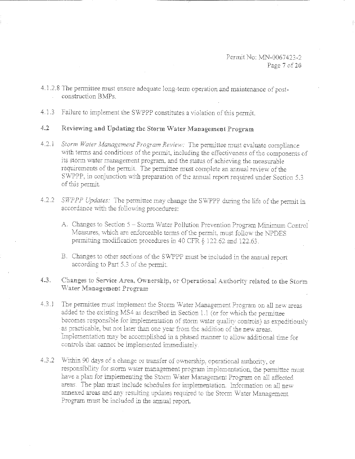- 4.1.2.8 The permittee must ensure adequate long-term operation and maintenance of postconstruction BMPs.
- $4.1.3$ Failure to implement the SWPPP constitutes a violation of this permit.

### $4.2$ Reviewing and Updating the Storm Water Management Program

- $4.2.1$ Storm Water Management Program Review: The permittee must evaluate compliance with terms and conditions of the permit, including the effectiveness of the components of its storm water management program, and the status of achieving the measurable requirements of the permit. The permittee must complete an annual review of the SWPPP, in conjunction with preparation of the annual report required under Section 5.3 of this permit.
- 4.2.2 SWPPP Updates: The permittee may change the SWPPP during the life of the permit in accordance with the following procedures:
	- A. Changes to Section 5 Storm Water Pollution Prevention Program Minimum Control Measures, which are enforceable terms of the permit, must follow the NPDES permitting modification procedures in 40 CFR § 122.62 and 122.63.
	- B. Changes to other sections of the SWPPP must be included in the annual report according to Part 5.3 of the permit.
- Changes to Service Area, Ownership, or Operational Authority related to the Storm  $4.3.$ Water Management Program
- The permittee must implement the Storm Water Management Program on all new areas  $4.3.1$ added to the existing MS4 as described in Section 1.1 (or for which the permittee becomes responsible for implementation of storm water quality controls) as expeditiously as practicable, but not later than one year from the addition of the new areas. Implementation may be accomplished in a phased manner to allow additional time for controls that cannot be implemented immediately.
- 4.3.2 Within 90 days of a change or transfer of ownership, operational authority, or responsibility for storm water management program implementation, the permittee must have a plan for implementing the Storm Water Management Program on all affected areas. The plan must include schedules for implementation. Information on all new annexed areas and any resulting updates required to the Storm Water Management Program must be included in the annual report.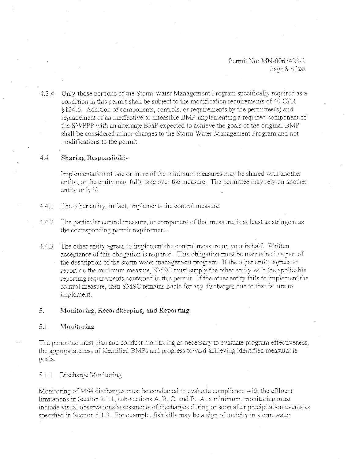Permit No: MN-0067423-2 Page 8 of 20

4.3.4 Only those portions of the Storm Water Management Program specifically required as a condition in this permit shall be subject to the modification requirements of 40 CFR  $§124.5.$  Addition of components, controls, or requirements by the permittee(s) and replacement of an ineffective or infeasible BMP implementing a required component of the SWPPP with an alternate BMP expected to achieve the goals of the original BMP shall be considered minor changes to the Storm Water Management Program and not modifications to the permit.

### 4.4 Sharing Responsibility

Implementation of one or more of the minimum measures may be shared with another entity, or the entity may fully take over the measure. The permittee may rely on another entity only if:

- 4.4.1 The other entity, in fact, implements the control measure;
- 4.4.2 The particular control measure, or component of that measure, is at least as stringent as the corresponding permit requirement.
- 4.4.3 The other entity agrees to implement the control measure on your behalf. Written acceptance of this obligation is required. This obligation must be maintained as part of the description of the storm water management program. If the other entity agrees to report on the minimum measure, SMSC must supply the other entity with the applicable reporting requirements contained in this permit. If the other entity fails to implement the control measure, then SMSC remains liable for any discharges due to that failure to implement.

## 5. Monitoring, Reeordkeeping, and Reporting

## 5.1 Monitoring

The permittee must plan and conduct monitoring as necessary to evaluate program effectiveness. the appropriateness of identified BMPs and progress toward achieving identified measurable goals..

5.1.1 Discharge Monitoring

Monitoring of MS4 discharges must be conducted to evaluate compliance with the effluent limitations in Section 2.3.1, sub-sections A, B, C, and E. At a minimum, monitoring must include visual observations/assessments of discharges during or soon after precipitation events as specified in Section 5.1.3. For example, fish kills may be a sign of toxicity in storm water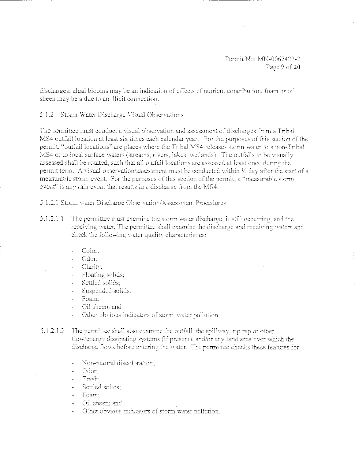discharges; algal blooms may be an indication of effects of nutrient contribution, foam or oil sheen may be a due to an lllicit connection.

5.1.2 Storm Water Discharge Visual Observations

The permitiee must conduct a visual observation and assessment of discharges from a Tribal MS4 outfall location at least six times each calendar year. For the purposes of this section of the perrnit. "outfall locations" are places where the Tribal MS4 releases stonn water to a non-Tribal MS4 or to local surface waters (streams, rivers, lakes, wetlands). The outfalls to be visually assessed shall be rotated, such that all outfall locations are assessed at least once during the permit term. A visual observation/assessment must be conducted within  $\frac{1}{2}$  day after the start of a measurable storm event. For the purposes of this section of the permit, a "measurable storm event" is any rain event that results in a discharge from the MS4.

5.1.2.1 Storm water Discharge Observation/Assessment Procedures

- $5.1.2.1.1$  The permittee must examine the storm water discharge, if still occurring, and the receiving water. The permittee shall examine the discharge and receiving waters and check the following water quality characteristics:
	- Color:
	- Odor;
	- Clarity:
	- Floating solids:
	- Settled solids:
	- Suspended solids;
	- Foam:
	- Oil sheen: and
	- Other obvious indicators of storm water pollution.

 $5.1.2.1.2$  The permittee shall also examine the outfall, the spillway, rip rap or other flow/energy dissipating systems (if present), and/or any land area over which the discharge flows before entering the water. The permittee checks these features for:

- Non-natural discoloration:
- Odor:
- Trash
- Settled solids:
- Foam:
- Oil sheen: and
- Other obvious indicators of storm water pollution.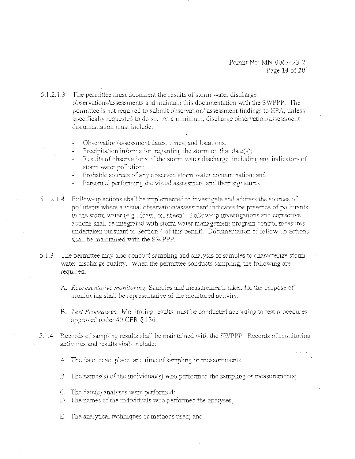5.1.2.1.3 The permittee must document the results of storm water discharge observations/assessments and maintain this documentation with the SWPPP. The permittee is not required to submit observation/assessment findings to EPA, unless specifically requested to do so. At a minimum, discharge observation/assessment documentation must include:

Observation/assessment dates, times, and locations;

- Precipitation information regarding the storm on that date(s):
- Results of observations of the storm water discharge, including any indicators of storm water pollution:
- Probable sources of any observed storm water contamination; and
- Personnel performing the visual assessment and their signatures.

5.1.2.1.4 Follow-up actions shall be implemented to investigate and address the sources of pollutants where a visual observation/assessment indicates the presence of pollutants in the storm water (e.g., foam, oil sheen). Follow-up investigations and corrective actions shall be integrated with storm water management program control measures undertaken pursuant to Section 4 of this permit. Documentation of follow-up actions shall be maintained with the SWPPP.

5.1.3 The permittee may also conduct sampling and analysis of samples to characterize storm water discharge quality. When the permittee conducts sampling, the following are required.

- A. Representative monitoring. Samples and measurements taken for the purpose of monitoring shall be representative of the monitored activity.
- B. Test Procedures. Monitoring results must be conducted according to test procedures approved under 40 CFR § 136.
- 5.1.4 Records of sampling results shall be maintained with the SWPPP. Records of monitoring activities and results shall include:
	- A. The date, exact place, and time of sampling or measurements;
	- B. The names(s) of the individual(s) who performed the sampling or measurements;
	- C. The date(s) analyses were performed;
	- D. The names of the individuals who performed the analyses;
	- E. The analytical techniques or methods used; and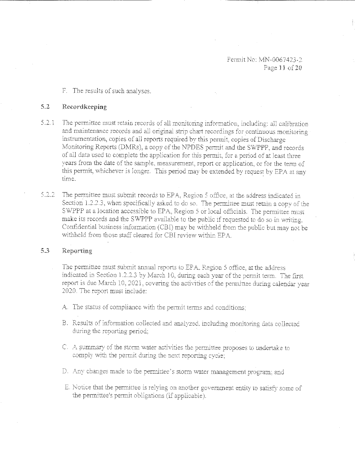Permit No: MN-0067423-2 Page 11 of 20

F. The results of such analyses.

# 5.2 Recordkeeping

- 5.2.1 The permittee must retain records of all monitoring information, including: all calibration and maintenance records and all original strip chart recordings for continuous monitoring instrumentation, copies of all reports required bv this permit, copies of Discharge Monitoring Reports (DMRs), a copy of the NPDES permit and the SWPPP, and records of all data used to complete the application for this permit, for a period of at least three years from the date of the sample, measurement, report or application, or for the term of this permit, whichever is longer. This period may be extended by request by EPA at any time.
- 5.2.2 The permittee must submit records to EPA. Region 5 office, at the address indicated in Section 1.2.2.3, when specifically asked to do so. The permittee must retain a copy of the SWPPP at a location accessible to EPA, Region 5 or local officials. The permittee must make its records and the SWPPP available to the public if requested to do so in writing. Confidential business information (CBI) may be withheld from the public but may not be withheld from those staff cleared for CBI review within EPA.

## 5.3 Reporting

The permittee must submit annual reports to EPA, Region 5 office, at the address indicated in Section 1.2.2.3 by March 10, during each year of the permit term. The first report is due March 10, 2021, covering the activities of the permittee during calendar year 2020. The report must include:

- A. The status of compliance with the permit terms and conditions:
- B. Results of information collected and analyzed, including monitoring data collected during the reporting period:
- C. A summary of the storm water activities the permittee proposes to undertake to comply with the permit during the next reporting cycle;
- D. Any changes made to the permittee's storm water management program; and
- E. Notice that the permittee is relying on another government entity to satisfy some of the permittee's permit obligations (if applicable).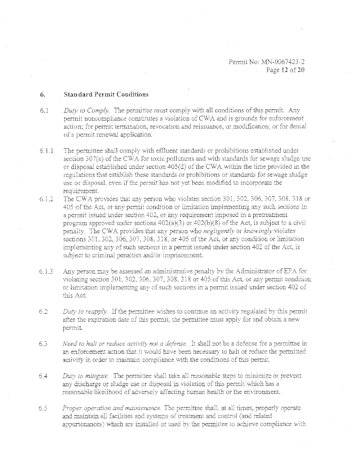## 6. Standard Permit Conditions

- $6.1$  *Duty to Comply.* The permittee must comply with all conditions of this permit. Any permit noncompliance constitutes a violation of CWA and is grounds for enforcement action; for permit termination, revocation and reissuance, or modification; or for denial of a permil renesval application.
- 6.1.1 The permittee shall comply with effluent standards or prohibitions established under section  $307(a)$  of the CWA for toxic pollutants and with standards for sewage sludge use or disposal established under section 405(d) of the CWA within the time provided m the regulations that establish these standards or prohibitions or standards for sewage sludge use or disposal, even if the permit has not vet been modified to incorporate the requirement.
- $6.1.2$ The CWA provides that any person who violates section 301, 302, 306, 307, 308, 318 or 405 of the Act, or any permit condition or limitation implementing any such sections in a permit issued under section 402, or any requirement imposed in a pretreatment program approved under sections  $402(a)(3)$  or  $402(b)(8)$  of the Act, is subject to a civil penalty. The CWA provides that any person who *negligently* or *knowingly* violates sections 301, 302, 306, 307, 308, 318, or 405 of the Act, or any condition or limitation implementing any of such sections in a perwjt issued under section 402 of the Act, is subject to criminal penalties and/or imprisonment.
- 6.1.o Any person may be assessed an administrative penalty by the Administrator of EPA for violating section 301, 302, 306, 307, 308, 318 or 405 of this Act, or any permit condition or limitation implementing any of such sections in a permit issued under section 402 of this Act
- 6.2 *Duty to reapply.* If the permittee wishes to continue an activity regulated by this permit after the expiration date of this permit, the permittee must apply for and obtain a new perrnit.
- 6.3 *Need to halt or reduce activity not a defense*. It shall not be a defense for a permittee in an enforcement action that it would have been necessary to halt or reduce the permitted activity in order to maintain compliance with the conditions of this permit.
- 6.4 *Duty to mitigate.* The permittee shall take all reasonable steps to minimize or prevent any discharge or sludge use or disposal in violation of this permit which has a reasonable likelihood of adversely affecting human health or the environment.
- 6.5 *Proper operation and maintenance*. The permittee shall, at all times, properly operate and maintain all facilities and systems of treatment and control (and related appurtenances) which are installed or used by the permittee to achieve compliance with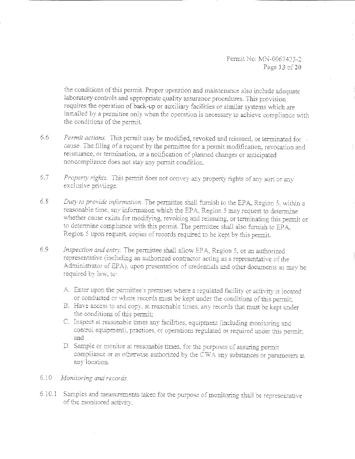Permit No: MN-0067423-2 Page 13 of 20

the conditions of this permit. Proper operation and maintenance also include adequate laboratory controls and appropriate quality assurance procedures. This provision requires the operation of back-up or auxiliary facilities or similar systems which are installed by a permittee only when the operation is necessary to achieve compliance with the conditions of the permit.

- Permit actions. This permit may be modified, revoked and reissued, or terminated for 6.6 cause. The filing of a request by the permittee for a permit modification, revocation and reissuance, or termination, or a notification of planned changes or anticipated noncompliance does not stay any permit condition.
- $6.7$ Property rights. This permit does not convey any property rights of any sort or any exclusive privilege.
- $6.8$ Duty to provide information. The permittee shall furnish to the EPA, Region 5, within a reasonable time, any information which the EPA, Region 5 may request to determine whether cause exists for modifying, revoking and reissuing, or terminating this permit or to determine compliance with this permit. The permittee shall also furnish to EPA, Region 5 upon request, copies of records required to be kept by this permit.
- 6.9 Inspection and entry. The permittee shall allow EPA, Region 5, or an authorized representative (including an authorized contractor acting as a representative of the Administrator of EPA), upon presentation of credentials and other documents as may be required by law, to:
	- A. Enter upon the permittee's premises where a regulated facility or activity is located or conducted or where records must be kept under the conditions of this permit;
	- B. Have access to and copy, at reasonable times, any records that must be kept under the conditions of this permit:
	- C. Inspect at reasonable times any facilities, equipment (including monitoring and control equipment), practices, or operations regulated or required under this permit; and
	- D. Sample or monitor at reasonable times, for the purposes of assuring permit compliance or as otherwise authorized by the CWA any substances or parameters at any location.
- $6.10$ Monitoring and records.
- 6.10.1 Samples and measurements taken for the purpose of monitoring shall be representative of the monitored activity.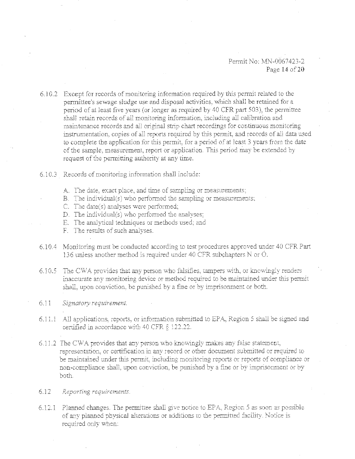Permit No: MN-0067423-2 Page 14 of 20

 $6.10.2$  Except for records of monitoring information required by this permit related to the permittee's sewage sludge use and disposal activities, which shall be retained for a period of at least five years (or longer as required by 40 CFR part 503), the permittee shall retain records of all monitoring information, including all calibration and maintenance records and all original strip chart recordings for continuous monitoring instrumentation, copies of all reports required by this permit, and records of all data used to complete the application for this permit, for a period of at least 3 years from the date of the sample, measurement, report or application. This period may be extended by request of the permitting authority at any time.

- 6.10.3 Records of monitoring information shall include:
	- A. The date, exact place, and time of sampling or measurements;
	- B. The individual(s) who performed the sampling or measurements;
	- C. The date(s) analyses were performed;
	- D. The individual(s) who performed the analyses;
	- E. Tbe analytical techniques or methods used: and
	- F. The results of such analyses.
- 6.10.4 Monitoring must be conducted according to test procedures approved under 40 CFR Part 136 unless another method is required under 40 CFR subchapters  $\overline{N}$  or  $\overline{O}$ .
- $6.10.5$  The CWA provides that any person who falsifies, tampers with, or knowingly renders inaccurate any monitoring device or method required to be maintained under this permit shall, upon conviction, be punished by a fine or by imprisonment or both.
- 6. J 1 *Signatory requirement.*
- 6.11.1 All applications, reports, or information submitted to EPA, Region 5 shall be signed and certified in accordance with 40 CFR  $\S$  122.22.
- 6.11.2 The CWA provides that any person who knowingly makes any false statement, representation, or certification in any record or other document submitted or required to be maintained under this permit, including monitoring reports or reports of compliance or non-compliance shall, upon conviction, be punished by a fine or by imprisonment or by both.
- 6 12 *Reporting requiremenrs.*
- 6.12.1 Planned changes. The permittee shall give notice to EPA, Region 5 as soon as possible of any planned physical alterations or additions to the permitted facility. Notice is required only when: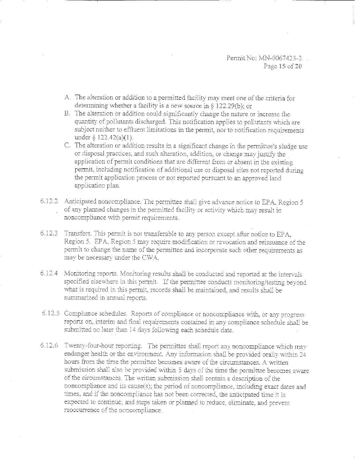- A. The alteration or addition to a permitted facility may meet one of the criteria for determining whether a facility is a new source in  $\S$  122.29(b); or
- B. The alteration or addition could significantly change the nature or increase the quantity of pollutants discharged. This notification applies to pollutants which are subject neither to effluent limitations in the permit, nor to notification requirements under  $\S$  122.42(a)(1).
- C. The alteration or addition results in a significant change in the permittee's sludge use or disposal practices, and such alteration, addition, or change may justify the application of permit conditions that are different from or absent in the existing permit, including notification of additional use or disposal sites not reported during the permit application process or not reported pursuant to an approved land application plan.
- 6.12.2 Anticipated noncompliance. The permittee shall give advance notice to EPA, Region 5 of any planned changes in the permitted facility or activity which may result in noncompliance with permit requirements.
- 6.12.3 Transfers. This permit is not transferable to any person except after notice to EPA. Region 5. EPA, Region 5 may require modification or revocation and reissuance of the permit to change the name of the permittee and incorporate such other requirements as may be necessary under the CWA.
- 6.12.4 Monitoring reports. Monitoring results shall be conducted and reported at the intervals specified elsewhere in this permit. If the permittee conducts monitoring/testing beyond what is required in this permit, records shall be maintained, and results shall be summarized in annual reports.
- 6.12.5 Compliance schedules. Reports of compliance or noncompliance with, or any progress reports on, interim and final requirements contained in any compliance schedule shall be submitted no later than 14 days following each schedule date.
- 6.12.6 Twenty-four-hour reporting. The permittee shall report any noncompliance which may endanger health or the environment. Any information shall be provided orally within 24 hours from the time the permittee becomes aware of the circumstances. A written submission shall also be provided within 5 days of the time the permittee becomes aware of the circumstances. The written submission shall contain a description of the noncompliance and its cause(s); the period of noncompliance, including exact dates and times, and if the noncompliance has not been corrected, the anticipated time it is expected to continue; and steps taken or planned to reduce, eliminate, and prevent reoccurrence of the noncompliance.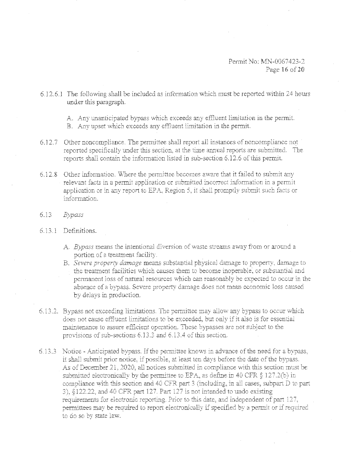Permit No: MN-0067423-2 Page 16 of 20

- 6.12.6.1 The following shall be included as information which must be reported within 24 hours under this paragraph.
	- A. Any unanticipated bypass which exceeds any effluent limitation in the permit.
	- B. Any upset which exceeds any effluent limitation in the permit.
- 6.12.7 Other noncompliance. The permittee shall report all instances of noncompliance not reported specifically under this section, at the time annual reports are submitted. The reports shall contain the information listed in sub-section 6.12.6 of this permit.
- 6.12.8 Other information. Where the permittee becomes aware that it failed to submit any relevant facts in a permit application or submitted incorrect information in a permit application or in any report to EPA. Region 5, it shall promptly submit such facts or information.
- 6.13 Bypass

# 6.13.1 Definitions.

- A. Bypass means the intentional diversion of waste streams away from or around a portion of a treatment facility.
- B. Severe property damage means substantial physical damage to property, damage to the treatment facilities which causes them to become inoperable, or substantial and permanent loss of natural resources which can reasonably be expected to occur in the absence of a bypass. Severe property damage does not mean economic loss caused by delays in production.
- 6.13.2. Bypass not exceeding limitations. The permittee may allow any bypass to occur which does not cause effluent limitations to be exceeded, but only if it also is for essential maintenance to assure efficient operation. These bypasses are not subject to the provisions of sub-sections 6.13.3 and 6.13.4 of this section.
- 6.13.3 Notice Anticipated bypass. If the permittee knows in advance of the need for a bypass, it shall submit prior notice, if possible, at least ten days before the date of the bypass. As of December 21, 2020, all notices submitted in compliance with this section must be submitted electronically by the permittee to EPA, as define in 40 CFR  $\S 127.2(b)$  in compliance with this section and 40 CFR part 3 (including, in all cases, subpart D to part 3), \$122.22, and 40 CFR part 127. Part 127 is not intended to undo existing requirements for electronic reporting. Prior to this date, and independent of part 127, permittees may be required to report electronically if specified by a permit or if required to do so by state law.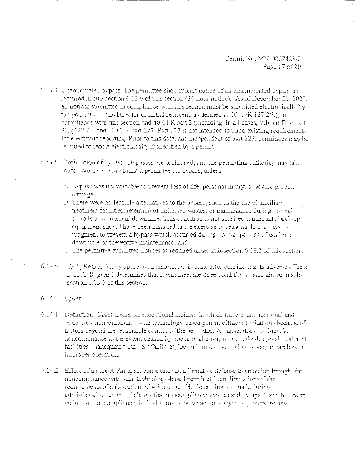Permit No: MN-0067423-2 Page 17 of 20

- 6.13.4 Unanticipated bypass. The permittee shall submit notice of an unanticipated bypass as required in sub-section 6.12.6 of this section (24-hour notice). As of December 21, 2020, all notices submitted in compliance with this section must be submitted electronically by the permittee to the Director or initial recipient, as defined in 40 CFR 127.2(b), in compliance with this section and 40 CFR part 3 (including, in all cases, subpart D to part 3), §122.22, and 40 CFR part 127. Part 127 is not intended to undo existing requirements for electronic reporting. Prior to this date, and independent of part 127, permittees may be required to report electronically if specified by a permit.
- 6.13.5 Prohibition of bypass. Bypasses are prohibited, and the permitting authority may take enforcement action against a permittee for bypass. unless:
	- A. Bypass was unavoidable to prevent loss of life, personal injury, or severe property damage:
	- B. There were no feasible alternatives to the bypass, such as the use of auxiliary treatment facilities, retention of untreated wastes, or maintenance during normal periods of equipment downtime. This condition is not satisfied if adequate back-up equipment should have been installed in the exercise of reasonable engineering judgment to prevent a bypass which occurred during normal periods of equipment downtime or preventive maintenance; and
	- C. The permittee submitted notices as required under sub-section 6.13.3 of this section.
- 6.13.5.1 EPA, Region 5 may approve an anticipated bypass, after considering its adverse effects. if EPA. Region 5 determines that it will meet the three conditions listed above in subsection 6.13.5 of this section

### $6.14$ Upset

- $6.14.1$ Definition: Upset means an exceptional incident in which there is unintentional and temporary noncompliance with technology-based permit effluent limitations because of factors beyond the reasonable control of the permittee. An upset does not include noncompliance to the extent caused by operational error, improperly designed treatment facilities, inadequate treatment facilities, lack of preventive maintenance, or careless or improper operation.
- 6.14.2 Effect of an upset. An upset constitutes an affirmative defense to an action brought for noncompliance with such technology-based permit effluent limitations if the requirements of sub-section 6.14.3 are met. No determination made during administrative review of claims that noncompliance was caused by upset, and before an action for noncompliance, is final administrative action subject to judicial review.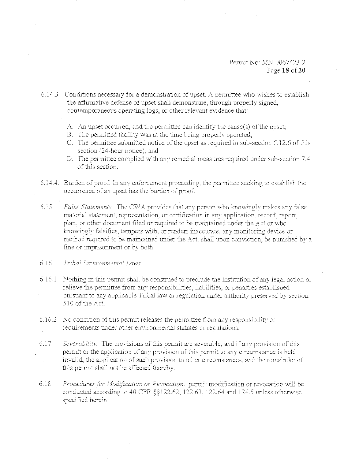6.14.3 Conditions necessary for a demonstration of upset. A permittee who wishes to establish the affirmative defense of upset shall demonstrate, through properly signed, contemporaneous operating logs, or other relevant evidence that:

- A. An upset occurred, and the permittee can identify the cause(s) of the upset;
- B. The permitted facility was at the time being properly operated;
- C. The permittee submitted notice of the upset as required in sub-section 6.12.6 of this section (24-bour notice): and
- D. The permittee complied with any remedial measures required under sub-section 7.4 of this section.
- 6.14.4. Burden of proof. In any enforcement proceeding, the permittee seeking to establish the occurrence of an upset has the burden of proof.
- 6.15 *False Statements.* The CWA provides that any person who knowingly makes any false material statement, representation, or certification in any application, record, report, plan, or other document filed or required to be maintained under the Act or who knowingly falsifies, tampers with, or renders inaccurate, any monitoring device or method required to be maintained under the Act, shall upon conviction, be punished by a fine or imprisonment or by both.

# 6.16 *Tribal Environmental Laws*

- $6.16.1$  Nothing in this permit shall be construed to preclude the institution of any legal action or relieve the permittee from any responsibilities, liabilities, or penalties established pursuant to any applicable Tribal law or regulation under authority preserved by section 510 of the Act.
- 6.16\_2 No condition of this permit releases the permittee from any responsibility or requirements under other environmental statutes or regulations.
- 6.17 *Severability.* The provisions of this permit are severable, and if any provision of this permit or the application of any provision of this permit to any circumstance is held invalid, the application of such provision to other circumstances, and the remainder of this permit shall not be affected thereby.
- 6.18 *Procedures for Modification or Revocation.* permit modification or revocation will be conducted according to 40 CFR  $\S$ §122.62, 122.63, 122.64 and 124.5 unless otherwise specified herein.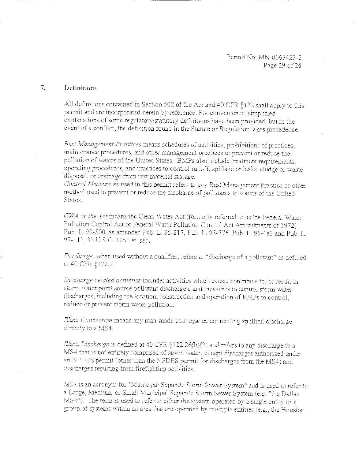### $7<sup>1</sup>$ Definitions

All definitions contained in Section 502 of the Act and 40 CFR §122 shall apply to this permit and are incorporated herein by reference. For convenience, simplified explanations of some regulatory/statutory definitions have been provided, but in the event of a conflict, the definition found in the Statute or Regulation takes precedence.

Best Management Practices means schedules of activities, prohibitions of practices. maintenance procedures, and other management practices to prevent or reduce the pollution of waters of the United States. BMPs also include treatment requirements. operating procedures, and practices to control runoff, spillage or leaks, sludge or waste disposal, or drainage from raw material storage.

Control Measure as used in this permit refers to any Best Management Practice or other method used to prevent or reduce the discharge of pollutants to waters of the United States:

CWA or the Act means the Clean Water Act (formerly referred to as the Federal Water Pollution Control Act or Federal Water Pollution Control Act Amendments of 1972) Pub. L. 92-500, as amended Pub. L. 95-217, Pub. L. 95-576, Pub. L. 96-483 and Pub. L. 97-117, 33 U.S.C. 1251 et. seq.

Discharge, when used without a qualifier, refers to "discharge of a pollutant" as defined at 40 CFR §122.2.

Discharge-related activities include: activities which cause, contribute to, or result in storm water point source pollutant discharges; and measures to control storm water discharges, including the location, construction and operation of BMPs to control, reduce or prevent storm water pollution.

Illicit Connection means any man-made conveyance connecting an illicit discharge directly to a MS4.

Illicit Discharge is defined at 40 CFR §122.26(b)(2) and refers to any discharge to a MS4 that is not entirely comprised of storm water, except discharges authorized under an NPDES permit (other than the NPDES permit for discharges from the MS4) and discharges resulting from firefighting activities.

MS4 is an acronym for "Municipal Separate Storm Sewer System" and is used to refer to a Large, Medium, or Small Municipal Separate Storm Sewer System (e.g. "the Dallas MS4"). The term is used to refer to either the system operated by a single entity or a group of systems within an area that are operated by multiple entities (e.g., the Houston